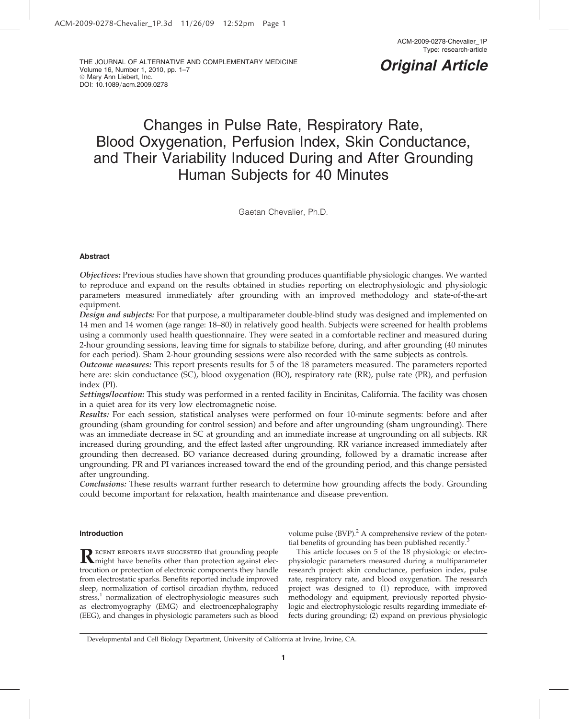THE JOURNAL OF ALTERNATIVE AND COMPLEMENTARY MEDICINE Volume 16, Number 1, 2010, pp. 1–7  $@$  Mary Ann Liebert, Inc. DOI: 10.1089/acm.2009.0278

# Original Article

# Changes in Pulse Rate, Respiratory Rate, Blood Oxygenation, Perfusion Index, Skin Conductance, and Their Variability Induced During and After Grounding Human Subjects for 40 Minutes

Gaetan Chevalier, Ph.D.

## Abstract

Objectives: Previous studies have shown that grounding produces quantifiable physiologic changes. We wanted to reproduce and expand on the results obtained in studies reporting on electrophysiologic and physiologic parameters measured immediately after grounding with an improved methodology and state-of-the-art equipment.

Design and subjects: For that purpose, a multiparameter double-blind study was designed and implemented on 14 men and 14 women (age range: 18–80) in relatively good health. Subjects were screened for health problems using a commonly used health questionnaire. They were seated in a comfortable recliner and measured during 2-hour grounding sessions, leaving time for signals to stabilize before, during, and after grounding (40 minutes for each period). Sham 2-hour grounding sessions were also recorded with the same subjects as controls.

Outcome measures: This report presents results for 5 of the 18 parameters measured. The parameters reported here are: skin conductance (SC), blood oxygenation (BO), respiratory rate (RR), pulse rate (PR), and perfusion index (PI).

Settings/location: This study was performed in a rented facility in Encinitas, California. The facility was chosen in a quiet area for its very low electromagnetic noise.

Results: For each session, statistical analyses were performed on four 10-minute segments: before and after grounding (sham grounding for control session) and before and after ungrounding (sham ungrounding). There was an immediate decrease in SC at grounding and an immediate increase at ungrounding on all subjects. RR increased during grounding, and the effect lasted after ungrounding. RR variance increased immediately after grounding then decreased. BO variance decreased during grounding, followed by a dramatic increase after ungrounding. PR and PI variances increased toward the end of the grounding period, and this change persisted after ungrounding.

Conclusions: These results warrant further research to determine how grounding affects the body. Grounding could become important for relaxation, health maintenance and disease prevention.

## Introduction

R ECENT REPORTS HAVE SUGGESTED that grounding people<br>
R might have benefits other than protection against elecmight have benefits other than protection against electrocution or protection of electronic components they handle from electrostatic sparks. Benefits reported include improved sleep, normalization of cortisol circadian rhythm, reduced stress,<sup>1</sup> normalization of electrophysiologic measures such as electromyography (EMG) and electroencephalography (EEG), and changes in physiologic parameters such as blood volume pulse (BVP).<sup>2</sup> A comprehensive review of the potential benefits of grounding has been published recently.<sup>3</sup>

This article focuses on 5 of the 18 physiologic or electrophysiologic parameters measured during a multiparameter research project: skin conductance, perfusion index, pulse rate, respiratory rate, and blood oxygenation. The research project was designed to (1) reproduce, with improved methodology and equipment, previously reported physiologic and electrophysiologic results regarding immediate effects during grounding; (2) expand on previous physiologic

Developmental and Cell Biology Department, University of California at Irvine, Irvine, CA.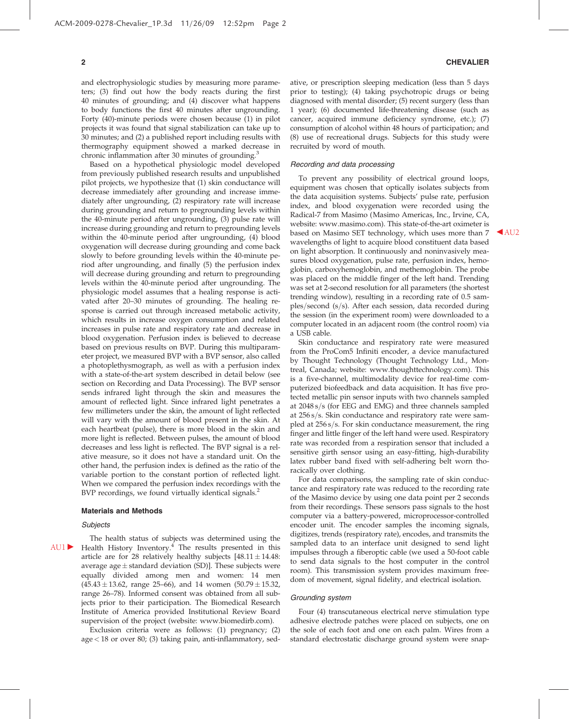and electrophysiologic studies by measuring more parameters; (3) find out how the body reacts during the first 40 minutes of grounding; and (4) discover what happens to body functions the first 40 minutes after ungrounding. Forty (40)-minute periods were chosen because (1) in pilot projects it was found that signal stabilization can take up to 30 minutes; and (2) a published report including results with thermography equipment showed a marked decrease in chronic inflammation after 30 minutes of grounding.<sup>3</sup>

Based on a hypothetical physiologic model developed from previously published research results and unpublished pilot projects, we hypothesize that (1) skin conductance will decrease immediately after grounding and increase immediately after ungrounding, (2) respiratory rate will increase during grounding and return to pregrounding levels within the 40-minute period after ungrounding, (3) pulse rate will increase during grounding and return to pregrounding levels within the 40-minute period after ungrounding, (4) blood oxygenation will decrease during grounding and come back slowly to before grounding levels within the 40-minute period after ungrounding, and finally (5) the perfusion index will decrease during grounding and return to pregrounding levels within the 40-minute period after ungrounding. The physiologic model assumes that a healing response is activated after 20–30 minutes of grounding. The healing response is carried out through increased metabolic activity, which results in increase oxygen consumption and related increases in pulse rate and respiratory rate and decrease in blood oxygenation. Perfusion index is believed to decrease based on previous results on BVP. During this multiparameter project, we measured BVP with a BVP sensor, also called a photoplethysmograph, as well as with a perfusion index with a state-of-the-art system described in detail below (see section on Recording and Data Processing). The BVP sensor sends infrared light through the skin and measures the amount of reflected light. Since infrared light penetrates a few millimeters under the skin, the amount of light reflected will vary with the amount of blood present in the skin. At each heartbeat (pulse), there is more blood in the skin and more light is reflected. Between pulses, the amount of blood decreases and less light is reflected. The BVP signal is a relative measure, so it does not have a standard unit. On the other hand, the perfusion index is defined as the ratio of the variable portion to the constant portion of reflected light. When we compared the perfusion index recordings with the BVP recordings, we found virtually identical signals.<sup>2</sup>

#### Materials and Methods

#### **Subjects**

The health status of subjects was determined using the  $AUI$  Health History Inventory.<sup>4</sup> The results presented in this article are for 28 relatively healthy subjects  $[48.11 \pm 14.48$ : average age  $\pm$  standard deviation (SD)]. These subjects were equally divided among men and women: 14 men  $(45.43 \pm 13.62,$  range 25–66), and 14 women  $(50.79 \pm 15.32,$ range 26–78). Informed consent was obtained from all subjects prior to their participation. The Biomedical Research Institute of America provided Institutional Review Board supervision of the project (website: www.biomedirb.com).

> Exclusion criteria were as follows: (1) pregnancy; (2) age < 18 or over 80; (3) taking pain, anti-inflammatory, sed-

#### 2 CHEVALIER AND LOCAL CHEVALIER CHEVALIER AND LOCAL CHEVALIER CHEVALIER CHEVALIER

ative, or prescription sleeping medication (less than 5 days prior to testing); (4) taking psychotropic drugs or being diagnosed with mental disorder; (5) recent surgery (less than 1 year); (6) documented life-threatening disease (such as cancer, acquired immune deficiency syndrome, etc.); (7) consumption of alcohol within 48 hours of participation; and (8) use of recreational drugs. Subjects for this study were recruited by word of mouth.

#### Recording and data processing

To prevent any possibility of electrical ground loops, equipment was chosen that optically isolates subjects from the data acquisition systems. Subjects' pulse rate, perfusion index, and blood oxygenation were recorded using the Radical-7 from Masimo (Masimo Americas, Inc., Irvine, CA, website: www.masimo.com). This state-of-the-art oximeter is based on Masimo SET technology, which uses more than  $7 \triangleleft AU2$ wavelengths of light to acquire blood constituent data based on light absorption. It continuously and noninvasively measures blood oxygenation, pulse rate, perfusion index, hemoglobin, carboxyhemoglobin, and methemoglobin. The probe was placed on the middle finger of the left hand. Trending was set at 2-second resolution for all parameters (the shortest trending window), resulting in a recording rate of 0.5 samples/second (s/s). After each session, data recorded during the session (in the experiment room) were downloaded to a computer located in an adjacent room (the control room) via a USB cable.

Skin conductance and respiratory rate were measured from the ProCom5 Infiniti encoder, a device manufactured by Thought Technology (Thought Technology Ltd., Montreal, Canada; website: www.thoughttechnology.com). This is a five-channel, multimodality device for real-time computerized biofeedback and data acquisition. It has five protected metallic pin sensor inputs with two channels sampled at  $2048 \text{ s/s}$  (for EEG and EMG) and three channels sampled at  $256 s/s$ . Skin conductance and respiratory rate were sampled at  $256 s/s$ . For skin conductance measurement, the ring finger and little finger of the left hand were used. Respiratory rate was recorded from a respiration sensor that included a sensitive girth sensor using an easy-fitting, high-durability latex rubber band fixed with self-adhering belt worn thoracically over clothing.

For data comparisons, the sampling rate of skin conductance and respiratory rate was reduced to the recording rate of the Masimo device by using one data point per 2 seconds from their recordings. These sensors pass signals to the host computer via a battery-powered, microprocessor-controlled encoder unit. The encoder samples the incoming signals, digitizes, trends (respiratory rate), encodes, and transmits the sampled data to an interface unit designed to send light impulses through a fiberoptic cable (we used a 50-foot cable to send data signals to the host computer in the control room). This transmission system provides maximum freedom of movement, signal fidelity, and electrical isolation.

#### Grounding system

Four (4) transcutaneous electrical nerve stimulation type adhesive electrode patches were placed on subjects, one on the sole of each foot and one on each palm. Wires from a standard electrostatic discharge ground system were snap-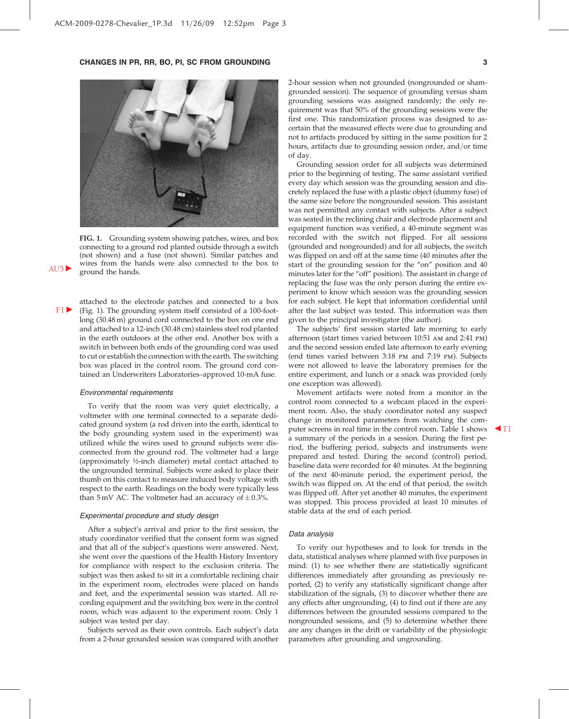

FIG. 1. Grounding system showing patches, wires, and box connecting to a ground rod planted outside through a switch (not shown) and a fuse (not shown). Similar patches and wires from the hands were also connected to the box to  $\text{A}U5$  around the hands.

attached to the electrode patches and connected to a box  $F1 \blacktriangleright$  (Fig. 1). The grounding system itself consisted of a 100-footlong (30.48 m) ground cord connected to the box on one end and attached to a 12-inch (30.48 cm) stainless steel rod planted in the earth outdoors at the other end. Another box with a switch in between both ends of the grounding cord was used to cut or establish the connection with the earth. The switching box was placed in the control room. The ground cord contained an Underwriters Laboratories–approved 10-mA fuse.

#### Environmental requirements

To verify that the room was very quiet electrically, a voltmeter with one terminal connected to a separate dedicated ground system (a rod driven into the earth, identical to the body grounding system used in the experiment) was utilized while the wires used to ground subjects were disconnected from the ground rod. The voltmeter had a large (approximately ½-inch diameter) metal contact attached to the ungrounded terminal. Subjects were asked to place their thumb on this contact to measure induced body voltage with respect to the earth. Readings on the body were typically less than  $5 \text{ mV}$  AC. The voltmeter had an accuracy of  $\pm 0.3$ %.

#### Experimental procedure and study design

After a subject's arrival and prior to the first session, the study coordinator verified that the consent form was signed and that all of the subject's questions were answered. Next, she went over the questions of the Health History Inventory for compliance with respect to the exclusion criteria. The subject was then asked to sit in a comfortable reclining chair in the experiment room, electrodes were placed on hands and feet, and the experimental session was started. All recording equipment and the switching box were in the control room, which was adjacent to the experiment room. Only 1 subject was tested per day.

Subjects served as their own controls. Each subject's data from a 2-hour grounded session was compared with another 2-hour session when not grounded (nongrounded or shamgrounded session). The sequence of grounding versus sham grounding sessions was assigned randomly; the only requirement was that 50% of the grounding sessions were the first one. This randomization process was designed to ascertain that the measured effects were due to grounding and not to artifacts produced by sitting in the same position for 2 hours, artifacts due to grounding session order, and/or time of day.

Grounding session order for all subjects was determined prior to the beginning of testing. The same assistant verified every day which session was the grounding session and discretely replaced the fuse with a plastic object (dummy fuse) of the same size before the nongrounded session. This assistant was not permitted any contact with subjects. After a subject was seated in the reclining chair and electrode placement and equipment function was verified, a 40-minute segment was recorded with the switch not flipped. For all sessions (grounded and nongrounded) and for all subjects, the switch was flipped on and off at the same time (40 minutes after the start of the grounding session for the "on" position and 40 minutes later for the "off" position). The assistant in charge of replacing the fuse was the only person during the entire experiment to know which session was the grounding session for each subject. He kept that information confidential until after the last subject was tested. This information was then given to the principal investigator (the author).

The subjects' first session started late morning to early afternoon (start times varied between 10:51 am and 2:41 pm) and the second session ended late afternoon to early evening (end times varied between 3:18 pm and 7:19 pm). Subjects were not allowed to leave the laboratory premises for the entire experiment, and lunch or a snack was provided (only one exception was allowed).

Movement artifacts were noted from a monitor in the control room connected to a webcam placed in the experiment room. Also, the study coordinator noted any suspect change in monitored parameters from watching the computer screens in real time in the control room. Table 1 shows  $\blacksquare$ a summary of the periods in a session. During the first period, the buffering period, subjects and instruments were prepared and tested. During the second (control) period, baseline data were recorded for 40 minutes. At the beginning of the next 40-minute period, the experiment period, the switch was flipped on. At the end of that period, the switch was flipped off. After yet another 40 minutes, the experiment was stopped. This process provided at least 10 minutes of stable data at the end of each period.

# Data analysis

To verify our hypotheses and to look for trends in the data, statistical analyses where planned with five purposes in mind: (1) to see whether there are statistically significant differences immediately after grounding as previously reported, (2) to verify any statistically significant change after stabilization of the signals, (3) to discover whether there are any effects after ungrounding, (4) to find out if there are any differences between the grounded sessions compared to the nongrounded sessions, and (5) to determine whether there are any changes in the drift or variability of the physiologic parameters after grounding and ungrounding.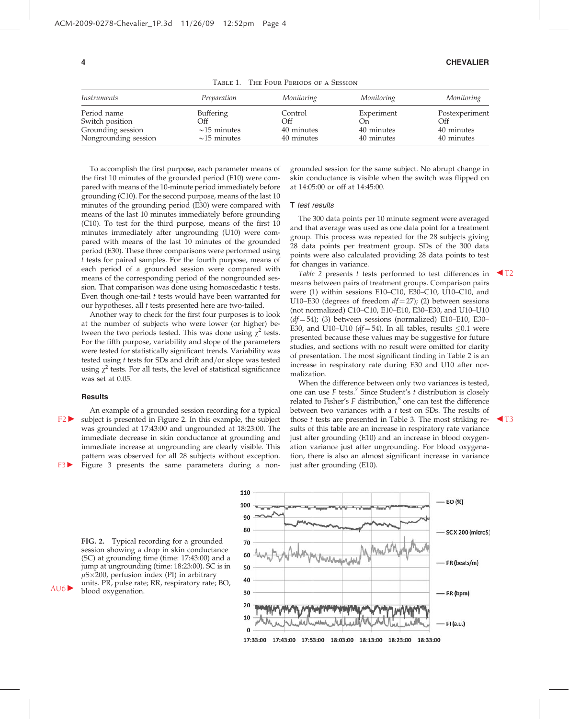| TADLE I. THE FOUR FERIODS OF A SESSION                                      |                                                                   |                                            |                                               |                                                   |  |  |  |
|-----------------------------------------------------------------------------|-------------------------------------------------------------------|--------------------------------------------|-----------------------------------------------|---------------------------------------------------|--|--|--|
| Instruments                                                                 | Preparation                                                       | Monitoring                                 | Monitoring                                    | Monitoring                                        |  |  |  |
| Period name<br>Switch position<br>Grounding session<br>Nongrounding session | <b>Buffering</b><br>Off<br>$\sim$ 15 minutes<br>$\sim$ 15 minutes | Control<br>Off<br>40 minutes<br>40 minutes | Experiment<br>On.<br>40 minutes<br>40 minutes | Postexperiment<br>Off<br>40 minutes<br>40 minutes |  |  |  |

THE FOUR PERIODS OF A SESSION

To accomplish the first purpose, each parameter means of the first 10 minutes of the grounded period (E10) were compared with means of the 10-minute period immediately before grounding (C10). For the second purpose, means of the last 10 minutes of the grounding period (E30) were compared with means of the last 10 minutes immediately before grounding (C10). To test for the third purpose, means of the first 10 minutes immediately after ungrounding (U10) were compared with means of the last 10 minutes of the grounded period (E30). These three comparisons were performed using *t* tests for paired samples. For the fourth purpose, means of each period of a grounded session were compared with means of the corresponding period of the nongrounded session. That comparison was done using homoscedastic *t* tests. Even though one-tail *t* tests would have been warranted for our hypotheses, all *t* tests presented here are two-tailed.

Another way to check for the first four purposes is to look at the number of subjects who were lower (or higher) between the two periods tested. This was done using  $\chi^2$  tests. For the fifth purpose, variability and slope of the parameters were tested for statistically significant trends. Variability was tested using *t* tests for SDs and drift and/or slope was tested using  $\chi^2$  tests. For all tests, the level of statistical significance was set at 0.05.

#### **Results**

An example of a grounded session recording for a typical  $F2 \triangleright$  subject is presented in Figure 2. In this example, the subject was grounded at 17:43:00 and ungrounded at 18:23:00. The immediate decrease in skin conductance at grounding and immediate increase at ungrounding are clearly visible. This pattern was observed for all 28 subjects without exception. Figure 3 presents the same parameters during a nongrounded session for the same subject. No abrupt change in skin conductance is visible when the switch was flipped on at 14:05:00 or off at 14:45:00.

#### T test results

The 300 data points per 10 minute segment were averaged and that average was used as one data point for a treatment group. This process was repeated for the 28 subjects giving 28 data points per treatment group. SDs of the 300 data points were also calculated providing 28 data points to test for changes in variance.

*Table 2* presents *t* tests performed to test differences in  $\blacktriangleleft$  T2 means between pairs of treatment groups. Comparison pairs were (1) within sessions E10–C10, E30–C10, U10–C10, and U10–E30 (degrees of freedom  $df = 27$ ); (2) between sessions (not normalized) C10–C10, E10–E10, E30–E30, and U10–U10  $(df=54)$ ; (3) between sessions (normalized) E10–E10, E30– E30, and U10–U10 ( $df = 54$ ). In all tables, results  $\leq 0.1$  were presented because these values may be suggestive for future studies, and sections with no result were omitted for clarity of presentation. The most significant finding in Table 2 is an increase in respiratory rate during E30 and U10 after normalization.

When the difference between only two variances is tested, one can use *F* tests.<sup>7</sup> Since Student's *t* distribution is closely related to Fisher's F distribution,<sup>8</sup> one can test the difference between two variances with a *t* test on SDs. The results of those  $t$  tests are presented in Table 3. The most striking results of this table are an increase in respiratory rate variance just after grounding (E10) and an increase in blood oxygenation variance just after ungrounding. For blood oxygenation, there is also an almost significant increase in variance just after grounding (E10).

FIG. 2. Typical recording for a grounded session showing a drop in skin conductance (SC) at grounding time (time: 17:43:00) and a jump at ungrounding (time: 18:23:00). SC is in  $\mu$ S×200, perfusion index (PI) in arbitrary units. PR, pulse rate; RR, respiratory rate; BO,  $AU6$  blood oxygenation.

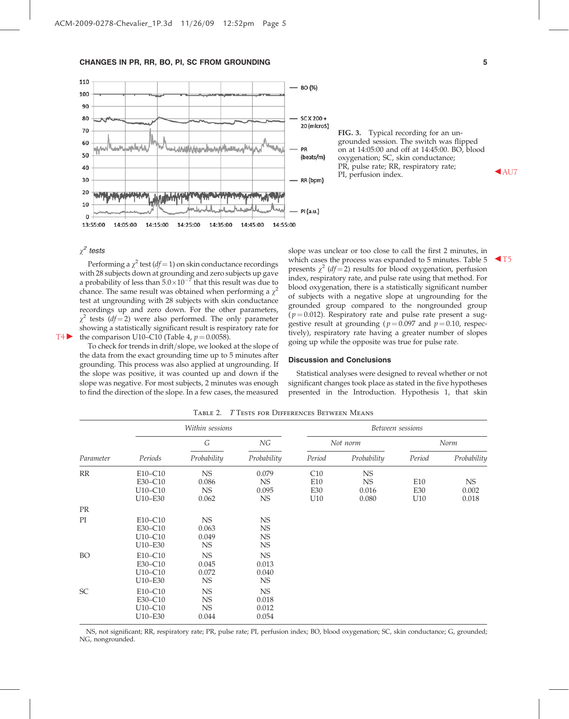

FIG. 3. Typical recording for an ungrounded session. The switch was flipped on at 14:05:00 and off at 14:45:00. BO, blood oxygenation; SC, skin conductance; PR, pulse rate; RR, respiratory rate; PI, perfusion index.

# $\chi^2$  tests

Performing a  $\chi^2$  test (*df* = 1) on skin conductance recordings with 28 subjects down at grounding and zero subjects up gave<br>a probability of less than 5.0×10<sup>-7</sup> that this result was due to chance. The same result was obtained when performing a  $\chi^2$ test at ungrounding with 28 subjects with skin conductance recordings up and zero down. For the other parameters,  $\chi^2$  tests (*df* = 2) were also performed. The only parameter showing a statistically significant result is respiratory rate for T4 the comparison U10–C10 (Table 4,  $p = 0.0058$ ).

To check for trends in drift/slope, we looked at the slope of the data from the exact grounding time up to 5 minutes after grounding. This process was also applied at ungrounding. If the slope was positive, it was counted up and down if the slope was negative. For most subjects, 2 minutes was enough to find the direction of the slope. In a few cases, the measured

slope was unclear or too close to call the first 2 minutes, in which cases the process was expanded to 5 minutes. Table  $5 \leq T5$ presents  $\chi^2$  (*df*=2) results for blood oxygenation, perfusion index, respiratory rate, and pulse rate using that method. For blood oxygenation, there is a statistically significant number of subjects with a negative slope at ungrounding for the grounded group compared to the nongrounded group  $(p = 0.012)$ . Respiratory rate and pulse rate present a suggestive result at grounding ( $p = 0.097$  and  $p = 0.10$ , respectively), respiratory rate having a greater number of slopes going up while the opposite was true for pulse rate.

#### Discussion and Conclusions

Statistical analyses were designed to reveal whether or not significant changes took place as stated in the five hypotheses presented in the Introduction. Hypothesis 1, that skin

|           |                                            | Within sessions                                |                                                  | Between sessions         |                                          |                   |                      |  |
|-----------|--------------------------------------------|------------------------------------------------|--------------------------------------------------|--------------------------|------------------------------------------|-------------------|----------------------|--|
| Parameter |                                            | G                                              | NG                                               |                          | Not norm                                 | Norm              |                      |  |
|           | Periods                                    | Probability                                    | Probability                                      | Period                   | Probability                              | Period            | Probability          |  |
| RR        | E10-C10<br>E30-C10<br>U10-C10<br>U10-E30   | <b>NS</b><br>0.086<br><b>NS</b><br>0.062       | 0.079<br><b>NS</b><br>0.095<br><b>NS</b>         | C10<br>E10<br>E30<br>U10 | <b>NS</b><br><b>NS</b><br>0.016<br>0.080 | E10<br>E30<br>U10 | NS<br>0.002<br>0.018 |  |
| PR        |                                            |                                                |                                                  |                          |                                          |                   |                      |  |
| PI        | E10-C10<br>E30-C10<br>U10-C10<br>U10-E30   | <b>NS</b><br>0.063<br>0.049<br><b>NS</b>       | <b>NS</b><br><b>NS</b><br><b>NS</b><br><b>NS</b> |                          |                                          |                   |                      |  |
| <b>BO</b> | E10-C10<br>E30-C10<br>$U10-C10$<br>U10-E30 | <b>NS</b><br>0.045<br>0.072<br><b>NS</b>       | <b>NS</b><br>0.013<br>0.040<br><b>NS</b>         |                          |                                          |                   |                      |  |
| SC        | E10-C10<br>E30-C10<br>U10-C10<br>U10-E30   | $_{\rm NS}$<br><b>NS</b><br><b>NS</b><br>0.044 | <b>NS</b><br>0.018<br>0.012<br>0.054             |                          |                                          |                   |                      |  |

Table 2. T Tests for Differences Between Means

NS, not significant; RR, respiratory rate; PR, pulse rate; PI, perfusion index; BO, blood oxygenation; SC, skin conductance; G, grounded; NG, nongrounded.

CHANGES IN PR, RR, BO, PI, SC FROM GROUNDING 5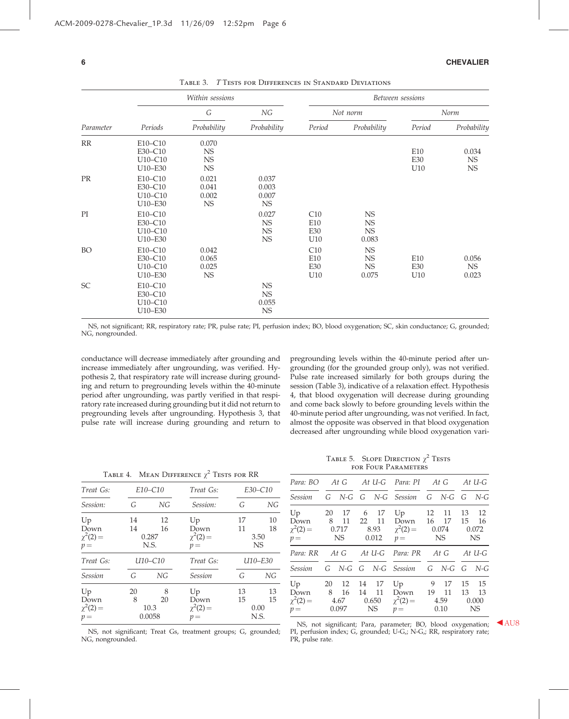## 6 CHEVALIER

| Parameter |                                                                   | Within sessions                                  |                                              | Between sessions         |                                                |                   |                                   |  |
|-----------|-------------------------------------------------------------------|--------------------------------------------------|----------------------------------------------|--------------------------|------------------------------------------------|-------------------|-----------------------------------|--|
|           |                                                                   | G                                                | NG                                           | Not norm                 |                                                | Norm              |                                   |  |
|           | Periods                                                           | Probability                                      | Probability                                  | Period                   | Probability                                    | Period            | Probability                       |  |
| RR        | E10-C10<br>E30-C10<br>U10-C10<br>U10-E30                          | 0.070<br><b>NS</b><br>$_{\rm NS}$<br>$_{\rm NS}$ |                                              |                          |                                                | E10<br>E30<br>U10 | 0.034<br><b>NS</b><br>$_{\rm NS}$ |  |
| <b>PR</b> | E10-C10<br>E30-C10<br>U <sub>10</sub> -C <sub>10</sub><br>U10-E30 | 0.021<br>0.041<br>0.002<br><b>NS</b>             | 0.037<br>0.003<br>0.007<br><b>NS</b>         |                          |                                                |                   |                                   |  |
| PI        | E10-C10<br>E30-C10<br>U <sub>10</sub> -C <sub>10</sub><br>U10-E30 |                                                  | 0.027<br><b>NS</b><br><b>NS</b><br><b>NS</b> | C10<br>E10<br>E30<br>U10 | $_{\rm NS}$<br><b>NS</b><br><b>NS</b><br>0.083 |                   |                                   |  |
| <b>BO</b> | E10-C10<br>E30-C10<br>U <sub>10</sub> -C <sub>10</sub><br>U10-E30 | 0.042<br>0.065<br>0.025<br>$_{\rm NS}$           |                                              | C10<br>E10<br>E30<br>U10 | <b>NS</b><br><b>NS</b><br>$_{\rm NS}$<br>0.075 | E10<br>E30<br>U10 | 0.056<br><b>NS</b><br>0.023       |  |
| SC        | E10-C10<br>E30-C10<br>U10-C10<br>U10-E30                          |                                                  | <b>NS</b><br><b>NS</b><br>0.055<br><b>NS</b> |                          |                                                |                   |                                   |  |

Table 3. T Tests for Differences in Standard Deviations

NS, not significant; RR, respiratory rate; PR, pulse rate; PI, perfusion index; BO, blood oxygenation; SC, skin conductance; G, grounded; NG, nongrounded.

conductance will decrease immediately after grounding and increase immediately after ungrounding, was verified. Hypothesis 2, that respiratory rate will increase during grounding and return to pregrounding levels within the 40-minute period after ungrounding, was partly verified in that respiratory rate increased during grounding but it did not return to pregrounding levels after ungrounding. Hypothesis 3, that pulse rate will increase during grounding and return to pregrounding levels within the 40-minute period after ungrounding (for the grounded group only), was not verified. Pulse rate increased similarly for both groups during the session (Table 3), indicative of a relaxation effect. Hypothesis 4, that blood oxygenation will decrease during grounding and come back slowly to before grounding levels within the 40-minute period after ungrounding, was not verified. In fact, almost the opposite was observed in that blood oxygenation decreased after ungrounding while blood oxygenation vari-

| Treat Gs:                            |          | E10-C10                   | Treat Gs:                            |          | E30-C10                       |  |
|--------------------------------------|----------|---------------------------|--------------------------------------|----------|-------------------------------|--|
| Session:                             | G        | NG                        | Session:                             | G        | NG                            |  |
| Up<br>Down<br>$\chi^2(2) =$<br>$p =$ | 14<br>14 | 12<br>16<br>0.287<br>N.S. | Up<br>Down<br>$\chi^2(2) =$<br>$p =$ | 17<br>11 | 10<br>18<br>3.50<br><b>NS</b> |  |
| Treat Gs:                            |          | U10-C10                   | Treat Gs:                            |          | U10-E30                       |  |
| <b>Session</b>                       | G        | NG                        | <b>Session</b>                       | G        | NG                            |  |
| Up<br>Down<br>$\chi^2(2) =$<br>$p =$ | 20<br>8  | 8<br>20<br>10.3<br>0.0058 | Up<br>Down<br>$\chi^2(2) =$<br>$p =$ | 13<br>15 | 13<br>15<br>0.00<br>N.S.      |  |

TABLE 4. MEAN DIFFERENCE  $\chi^2$  Tests for RR

TABLE 5. SLOPE DIRECTION  $\chi^2$  Tests for Four Parameters

| Para: BO                             |         | At G At U-G Para: PI At G At U-G |                                  |                     |                                                 |          |                            |    |                                |
|--------------------------------------|---------|----------------------------------|----------------------------------|---------------------|-------------------------------------------------|----------|----------------------------|----|--------------------------------|
| <b>Session</b>                       |         |                                  |                                  |                     | G N-G G N-G Session G N-G                       |          |                            | G  | $N$ -G                         |
| Up<br>Down<br>$\chi^2(2) =$<br>$p =$ | 20<br>8 | 17<br>11<br>0.717<br>NS          | 22                               | 6 17<br>11<br>0.012 | Up<br>Down<br>8.93 $\chi^2(2) =$<br>$p =$       | 12<br>16 | 11<br>17<br>0.074<br>NS    | 15 | 13 12<br>- 16<br>0.072<br>NS - |
| Para: RR                             |         |                                  | At G At U-G Para: PR At G At U-G |                     |                                                 |          |                            |    |                                |
| <i>Session</i>                       |         |                                  |                                  |                     | G N-G G N-G Session                             |          | $G$ N-G $G$ N-G            |    |                                |
| Up<br>Down<br>$\chi^2(2) =$<br>$p =$ | 20<br>8 | 12<br>16<br>0.097                | 14<br>NS                         | 14 17<br>- 11       | Up<br>Down<br>4.67 0.650 $\chi^2(2) =$<br>$p =$ | 19       | 9 17<br>11<br>4.59<br>0.10 | 13 | 15 15<br>13<br>0.000<br>NS.    |

NS, not significant; Treat Gs, treatment groups; G, grounded; NG, nongrounded.

NS, not significant; Para, parameter; BO, blood oxygenation; <a> PI, perfusion index; G, grounded; U-G,; N-G,; RR, respiratory rate; PR, pulse rate.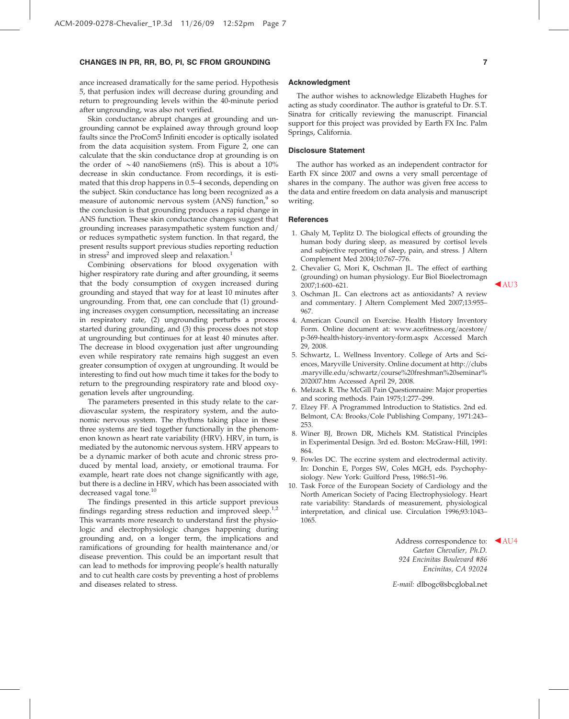## CHANGES IN PR, RR, BO, PI, SC FROM GROUNDING 7

ance increased dramatically for the same period. Hypothesis 5, that perfusion index will decrease during grounding and return to pregrounding levels within the 40-minute period after ungrounding, was also not verified.

Skin conductance abrupt changes at grounding and ungrounding cannot be explained away through ground loop faults since the ProCom5 Infiniti encoder is optically isolated from the data acquisition system. From Figure 2, one can calculate that the skin conductance drop at grounding is on the order of  $\sim$ 40 nanoSiemens (nS). This is about a 10% decrease in skin conductance. From recordings, it is estimated that this drop happens in 0.5–4 seconds, depending on the subject. Skin conductance has long been recognized as a measure of autonomic nervous system (ANS) function,<sup>9</sup> so the conclusion is that grounding produces a rapid change in ANS function. These skin conductance changes suggest that grounding increases parasympathetic system function and/ or reduces sympathetic system function. In that regard, the present results support previous studies reporting reduction in stress<sup>2</sup> and improved sleep and relaxation.<sup>1</sup>

Combining observations for blood oxygenation with higher respiratory rate during and after grounding, it seems that the body consumption of oxygen increased during grounding and stayed that way for at least 10 minutes after ungrounding. From that, one can conclude that (1) grounding increases oxygen consumption, necessitating an increase in respiratory rate, (2) ungrounding perturbs a process started during grounding, and (3) this process does not stop at ungrounding but continues for at least 40 minutes after. The decrease in blood oxygenation just after ungrounding even while respiratory rate remains high suggest an even greater consumption of oxygen at ungrounding. It would be interesting to find out how much time it takes for the body to return to the pregrounding respiratory rate and blood oxygenation levels after ungrounding.

The parameters presented in this study relate to the cardiovascular system, the respiratory system, and the autonomic nervous system. The rhythms taking place in these three systems are tied together functionally in the phenomenon known as heart rate variability (HRV). HRV, in turn, is mediated by the autonomic nervous system. HRV appears to be a dynamic marker of both acute and chronic stress produced by mental load, anxiety, or emotional trauma. For example, heart rate does not change significantly with age, but there is a decline in HRV, which has been associated with decreased vagal tone.<sup>10</sup>

The findings presented in this article support previous findings regarding stress reduction and improved sleep. $1/2$ This warrants more research to understand first the physiologic and electrophysiologic changes happening during grounding and, on a longer term, the implications and ramifications of grounding for health maintenance and/or disease prevention. This could be an important result that can lead to methods for improving people's health naturally and to cut health care costs by preventing a host of problems and diseases related to stress.

#### Acknowledgment

The author wishes to acknowledge Elizabeth Hughes for acting as study coordinator. The author is grateful to Dr. S.T. Sinatra for critically reviewing the manuscript. Financial support for this project was provided by Earth FX Inc. Palm Springs, California.

#### Disclosure Statement

The author has worked as an independent contractor for Earth FX since 2007 and owns a very small percentage of shares in the company. The author was given free access to the data and entire freedom on data analysis and manuscript writing.

#### **References**

- 1. Ghaly M, Teplitz D. The biological effects of grounding the human body during sleep, as measured by cortisol levels and subjective reporting of sleep, pain, and stress. J Altern Complement Med 2004;10:767–776.
- 2. Chevalier G, Mori K, Oschman JL. The effect of earthing (grounding) on human physiology. Eur Biol Bioelectromagn 2007;1:600–621. b AU3
- 3. Oschman JL. Can electrons act as antioxidants? A review and commentary. J Altern Complement Med 2007;13:955– 967.
- 4. American Council on Exercise. Health History Inventory Form. Online document at: www.acefitness.org/acestore/ p-369-health-history-inventory-form.aspx Accessed March 29, 2008.
- 5. Schwartz, L. Wellness Inventory. College of Arts and Sciences, Maryville University. Online document at http://clubs .maryville.edu/schwartz/course%20freshman%20seminar% 202007.htm Accessed April 29, 2008.
- 6. Melzack R. The McGill Pain Questionnaire: Major properties and scoring methods. Pain 1975;1:277–299.
- 7. Elzey FF. A Programmed Introduction to Statistics. 2nd ed. Belmont, CA: Brooks/Cole Publishing Company, 1971:243– 253.
- 8. Winer BJ, Brown DR, Michels KM. Statistical Principles in Experimental Design. 3rd ed. Boston: McGraw-Hill, 1991: 864.
- 9. Fowles DC. The eccrine system and electrodermal activity. In: Donchin E, Porges SW, Coles MGH, eds. Psychophysiology. New York: Guilford Press, 1986:51–96.
- 10. Task Force of the European Society of Cardiology and the North American Society of Pacing Electrophysiology. Heart rate variability: Standards of measurement, physiological interpretation, and clinical use. Circulation 1996;93:1043– 1065.

Address correspondence to: <a>AU4<br/>  $\blacktriangleleft$  AU4 *Gaetan Chevalier, Ph.D. 924 Encinitas Boulevard #86 Encinitas, CA 92024*

*E-mail:* dlbogc@sbcglobal.net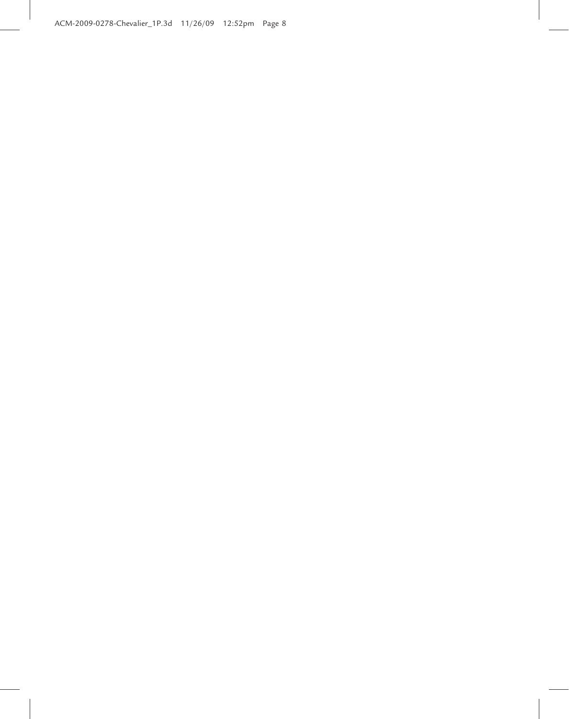ACM-2009-0278-Chevalier\_1P.3d 11/26/09 12:52pm Page 8